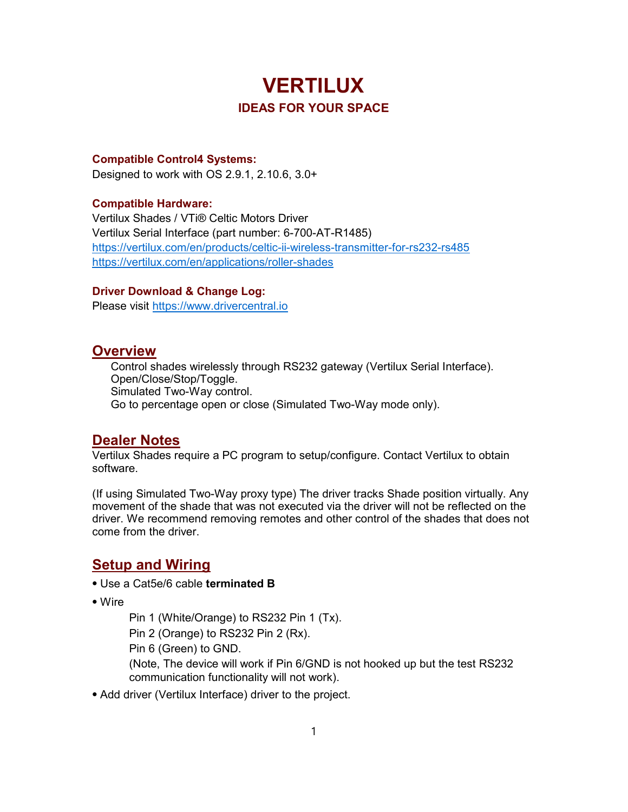# **VERTILUX** IDEAS FOR YOUR SPACE

#### Compatible Control4 Systems:

Designed to work with OS 2.9.1, 2.10.6, 3.0+

#### Compatible Hardware:

Vertilux Shades / VTi® Celtic Motors Driver Vertilux Serial Interface (part number: 6-700-AT-R1485) https://vertilux.com/en/products/celtic-ii-wireless-transmitter-for-rs232-rs485 https://vertilux.com/en/applications/roller-shades

#### Driver Download & Change Log:

Please visit https://www.drivercentral.io

#### **Overview**

Control shades wirelessly through RS232 gateway (Vertilux Serial Interface). Open/Close/Stop/Toggle. Simulated Two-Way control. Go to percentage open or close (Simulated Two-Way mode only).

#### Dealer Notes

Vertilux Shades require a PC program to setup/configure. Contact Vertilux to obtain software.

(If using Simulated Two-Way proxy type) The driver tracks Shade position virtually. Any movement of the shade that was not executed via the driver will not be reflected on the driver. We recommend removing remotes and other control of the shades that does not come from the driver.

#### **Setup and Wiring**

- ⦁ Use a Cat5e/6 cable terminated B
- ⦁ Wire

Pin 1 (White/Orange) to RS232 Pin 1 (Tx). Pin 2 (Orange) to RS232 Pin 2 (Rx). Pin 6 (Green) to GND. (Note, The device will work if Pin 6/GND is not hooked up but the test RS232 communication functionality will not work).

⦁ Add driver (Vertilux Interface) driver to the project.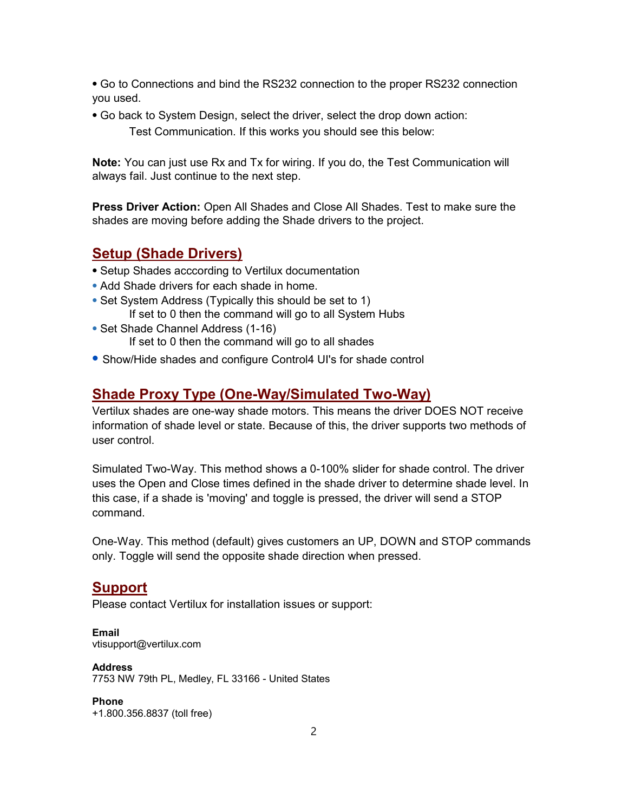⦁ Go to Connections and bind the RS232 connection to the proper RS232 connection you used.

- ⦁ Go back to System Design, select the driver, select the drop down action:
	- Test Communication. If this works you should see this below:

Note: You can just use Rx and Tx for wiring. If you do, the Test Communication will always fail. Just continue to the next step.

Press Driver Action: Open All Shades and Close All Shades. Test to make sure the shades are moving before adding the Shade drivers to the project.

#### Setup (Shade Drivers)

- ⦁ Setup Shades acccording to Vertilux documentation
- ⦁ Add Shade drivers for each shade in home.
- ⦁ Set System Address (Typically this should be set to 1) If set to 0 then the command will go to all System Hubs
- ⦁ Set Shade Channel Address (1-16) If set to 0 then the command will go to all shades
- ⦁ Show/Hide shades and configure Control4 UI's for shade control

### Shade Proxy Type (One-Way/Simulated Two-Way)

Vertilux shades are one-way shade motors. This means the driver DOES NOT receive information of shade level or state. Because of this, the driver supports two methods of user control.

Simulated Two-Way. This method shows a 0-100% slider for shade control. The driver uses the Open and Close times defined in the shade driver to determine shade level. In this case, if a shade is 'moving' and toggle is pressed, the driver will send a STOP command.

One-Way. This method (default) gives customers an UP, DOWN and STOP commands only. Toggle will send the opposite shade direction when pressed.

### Support

Please contact Vertilux for installation issues or support:

Email vtisupport@vertilux.com

Address 7753 NW 79th PL, Medley, FL 33166 - United States

Phone +1.800.356.8837 (toll free)